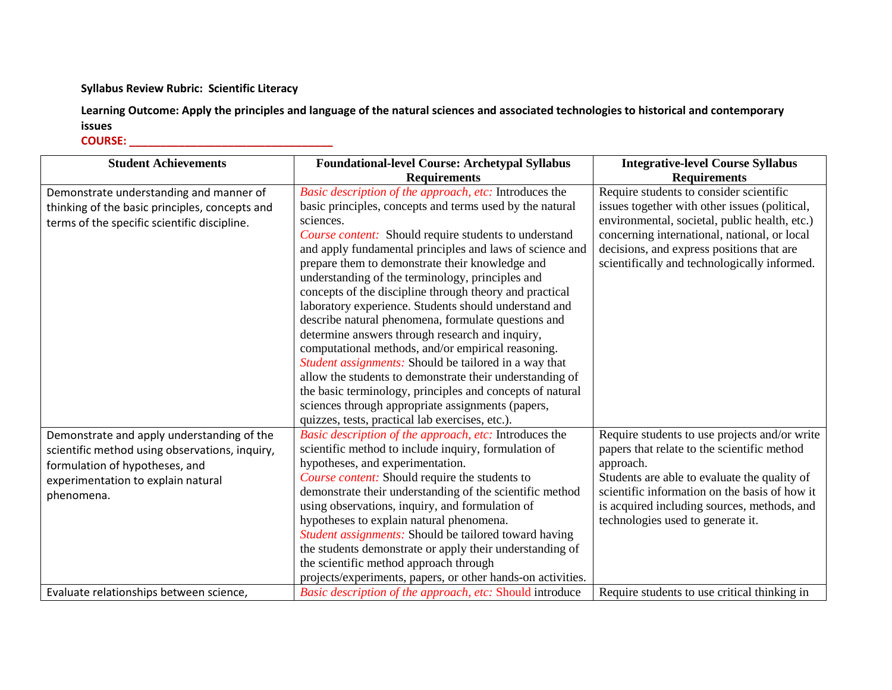## **Syllabus Review Rubric: Scientific Literacy**

**Learning Outcome: Apply the principles and language of the natural sciences and associated technologies to historical and contemporary issues COURSE: \_\_\_\_\_\_\_\_\_\_\_\_\_\_\_\_\_\_\_\_\_\_\_\_\_\_\_\_\_\_\_\_\_**

| <b>Student Achievements</b>                                                                                                                                                        | <b>Foundational-level Course: Archetypal Syllabus</b><br><b>Requirements</b>                                                                                                                                                                                                                                                                                                                                                                                                                                                                                                                                                                                                                                                                                                                                                                                                                                                              | <b>Integrative-level Course Syllabus</b><br><b>Requirements</b>                                                                                                                                                                                                                                |
|------------------------------------------------------------------------------------------------------------------------------------------------------------------------------------|-------------------------------------------------------------------------------------------------------------------------------------------------------------------------------------------------------------------------------------------------------------------------------------------------------------------------------------------------------------------------------------------------------------------------------------------------------------------------------------------------------------------------------------------------------------------------------------------------------------------------------------------------------------------------------------------------------------------------------------------------------------------------------------------------------------------------------------------------------------------------------------------------------------------------------------------|------------------------------------------------------------------------------------------------------------------------------------------------------------------------------------------------------------------------------------------------------------------------------------------------|
| Demonstrate understanding and manner of<br>thinking of the basic principles, concepts and<br>terms of the specific scientific discipline.                                          | Basic description of the approach, etc: Introduces the<br>basic principles, concepts and terms used by the natural<br>sciences.<br>Course content: Should require students to understand<br>and apply fundamental principles and laws of science and<br>prepare them to demonstrate their knowledge and<br>understanding of the terminology, principles and<br>concepts of the discipline through theory and practical<br>laboratory experience. Students should understand and<br>describe natural phenomena, formulate questions and<br>determine answers through research and inquiry,<br>computational methods, and/or empirical reasoning.<br>Student assignments: Should be tailored in a way that<br>allow the students to demonstrate their understanding of<br>the basic terminology, principles and concepts of natural<br>sciences through appropriate assignments (papers,<br>quizzes, tests, practical lab exercises, etc.). | Require students to consider scientific<br>issues together with other issues (political,<br>environmental, societal, public health, etc.)<br>concerning international, national, or local<br>decisions, and express positions that are<br>scientifically and technologically informed.         |
| Demonstrate and apply understanding of the<br>scientific method using observations, inquiry,<br>formulation of hypotheses, and<br>experimentation to explain natural<br>phenomena. | Basic description of the approach, etc: Introduces the<br>scientific method to include inquiry, formulation of<br>hypotheses, and experimentation.<br>Course content: Should require the students to<br>demonstrate their understanding of the scientific method<br>using observations, inquiry, and formulation of<br>hypotheses to explain natural phenomena.<br>Student assignments: Should be tailored toward having<br>the students demonstrate or apply their understanding of<br>the scientific method approach through<br>projects/experiments, papers, or other hands-on activities.                                                                                                                                                                                                                                                                                                                                             | Require students to use projects and/or write<br>papers that relate to the scientific method<br>approach.<br>Students are able to evaluate the quality of<br>scientific information on the basis of how it<br>is acquired including sources, methods, and<br>technologies used to generate it. |
| Evaluate relationships between science,                                                                                                                                            | Basic description of the approach, etc: Should introduce                                                                                                                                                                                                                                                                                                                                                                                                                                                                                                                                                                                                                                                                                                                                                                                                                                                                                  | Require students to use critical thinking in                                                                                                                                                                                                                                                   |